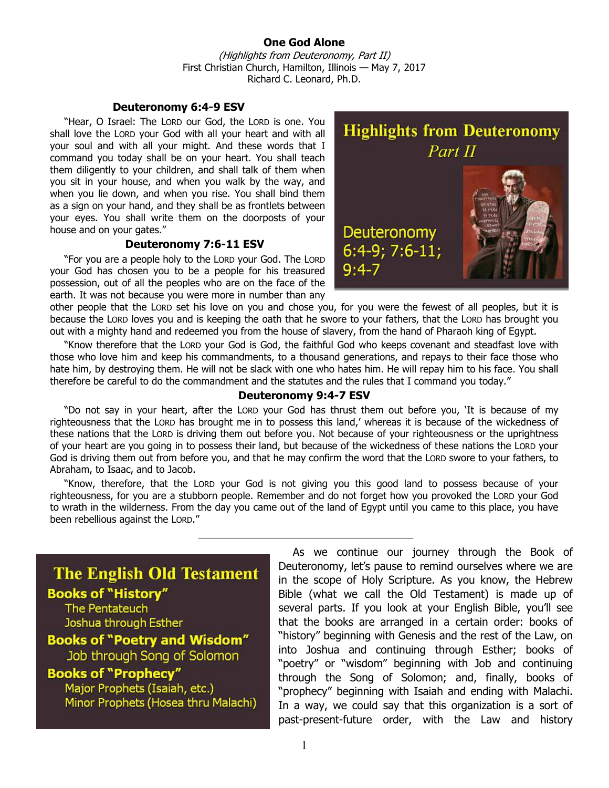## **One God Alone**  (Highlights from Deuteronomy, Part II) First Christian Church, Hamilton, Illinois — May 7, 2017 Richard C. Leonard, Ph.D.

#### **Deuteronomy 6:4-9 ESV**

"Hear, O Israel: The LORD our God, the LORD is one. You shall love the LORD your God with all your heart and with all your soul and with all your might. And these words that I command you today shall be on your heart. You shall teach them diligently to your children, and shall talk of them when you sit in your house, and when you walk by the way, and when you lie down, and when you rise. You shall bind them as a sign on your hand, and they shall be as frontlets between your eyes. You shall write them on the doorposts of your house and on your gates."

#### **Deuteronomy 7:6-11 ESV**

"For you are a people holy to the LORD your God. The LORD your God has chosen you to be a people for his treasured possession, out of all the peoples who are on the face of the earth. It was not because you were more in number than any

other people that the LORD set his love on you and chose you, for you were the fewest of all peoples, but it is because the LORD loves you and is keeping the oath that he swore to your fathers, that the LORD has brought you out with a mighty hand and redeemed you from the house of slavery, from the hand of Pharaoh king of Egypt.

"Know therefore that the LORD your God is God, the faithful God who keeps covenant and steadfast love with those who love him and keep his commandments, to a thousand generations, and repays to their face those who hate him, by destroying them. He will not be slack with one who hates him. He will repay him to his face. You shall therefore be careful to do the commandment and the statutes and the rules that I command you today."

## **Deuteronomy 9:4-7 ESV**

"Do not say in your heart, after the LORD your God has thrust them out before you, 'It is because of my righteousness that the LORD has brought me in to possess this land,' whereas it is because of the wickedness of these nations that the LORD is driving them out before you. Not because of your righteousness or the uprightness of your heart are you going in to possess their land, but because of the wickedness of these nations the LORD your God is driving them out from before you, and that he may confirm the word that the LORD swore to your fathers, to Abraham, to Isaac, and to Jacob.

"Know, therefore, that the LORD your God is not giving you this good land to possess because of your righteousness, for you are a stubborn people. Remember and do not forget how you provoked the LORD your God to wrath in the wilderness. From the day you came out of the land of Egypt until you came to this place, you have been rebellious against the LORD."

 $\mathcal{L}_\mathcal{L}$  , which is a set of the set of the set of the set of the set of the set of the set of the set of the set of the set of the set of the set of the set of the set of the set of the set of the set of the set of

**The English Old Testament Books of "History"** 

The Pentateuch Joshua through Esther

**Books of "Poetry and Wisdom"** Job through Song of Solomon

**Books of "Prophecy"** Major Prophets (Isaiah, etc.) Minor Prophets (Hosea thru Malachi)

As we continue our journey through the Book of Deuteronomy, let's pause to remind ourselves where we are in the scope of Holy Scripture. As you know, the Hebrew Bible (what we call the Old Testament) is made up of several parts. If you look at your English Bible, you'll see that the books are arranged in a certain order: books of "history" beginning with Genesis and the rest of the Law, on into Joshua and continuing through Esther; books of "poetry" or "wisdom" beginning with Job and continuing through the Song of Solomon; and, finally, books of "prophecy" beginning with Isaiah and ending with Malachi. In a way, we could say that this organization is a sort of past-present-future order, with the Law and history

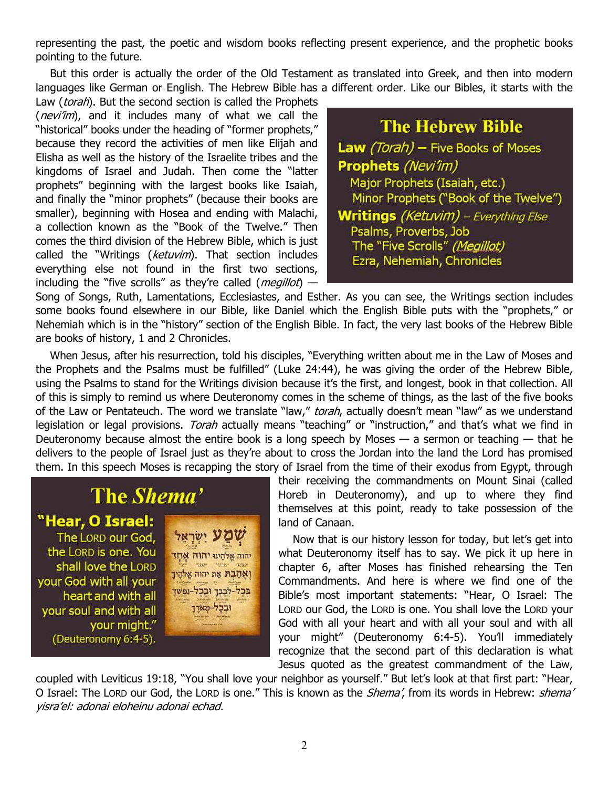representing the past, the poetic and wisdom books reflecting present experience, and the prophetic books pointing to the future.

But this order is actually the order of the Old Testament as translated into Greek, and then into modern languages like German or English. The Hebrew Bible has a different order. Like our Bibles, it starts with the

Law (torah). But the second section is called the Prophets  $(nevi'm)$ , and it includes many of what we call the "historical" books under the heading of "former prophets," because they record the activities of men like Elijah and Elisha as well as the history of the Israelite tribes and the kingdoms of Israel and Judah. Then come the "latter prophets" beginning with the largest books like Isaiah, and finally the "minor prophets" (because their books are smaller), beginning with Hosea and ending with Malachi, a collection known as the "Book of the Twelve." Then comes the third division of the Hebrew Bible, which is just called the "Writings (ketuvim). That section includes everything else not found in the first two sections, including the "five scrolls" as they're called (*megillot*)  $-$ 



Song of Songs, Ruth, Lamentations, Ecclesiastes, and Esther. As you can see, the Writings section includes some books found elsewhere in our Bible, like Daniel which the English Bible puts with the "prophets," or Nehemiah which is in the "history" section of the English Bible. In fact, the very last books of the Hebrew Bible are books of history, 1 and 2 Chronicles.

When Jesus, after his resurrection, told his disciples, "Everything written about me in the Law of Moses and the Prophets and the Psalms must be fulfilled" (Luke 24:44), he was giving the order of the Hebrew Bible, using the Psalms to stand for the Writings division because it's the first, and longest, book in that collection. All of this is simply to remind us where Deuteronomy comes in the scheme of things, as the last of the five books of the Law or Pentateuch. The word we translate "law," torah, actually doesn't mean "law" as we understand legislation or legal provisions. Torah actually means "teaching" or "instruction," and that's what we find in Deuteronomy because almost the entire book is a long speech by Moses  $-$  a sermon or teaching  $-$  that he delivers to the people of Israel just as they're about to cross the Jordan into the land the Lord has promised them. In this speech Moses is recapping the story of Israel from the time of their exodus from Egypt, through

The Shema' "Hear, O Israel: שָׁמַע יִשְׂרָאֵל The LORD our God. the LORD is one. You יהוה אֱלֹהֵינוּ יהוה אֶחֶד shall love the LORD ואהבת את יהוה אלהיד your God with all your בִכָל-לִבְבָךָ וּבְכָל-נְפִשֶׁךָ heart and with all ובכל-מאדד your soul and with all your might." (Deuteronomy 6:4-5).

their receiving the commandments on Mount Sinai (called Horeb in Deuteronomy), and up to where they find themselves at this point, ready to take possession of the land of Canaan.

Now that is our history lesson for today, but let's get into what Deuteronomy itself has to say. We pick it up here in chapter 6, after Moses has finished rehearsing the Ten Commandments. And here is where we find one of the Bible's most important statements: "Hear, O Israel: The LORD our God, the LORD is one. You shall love the LORD your God with all your heart and with all your soul and with all your might" (Deuteronomy 6:4-5). You'll immediately recognize that the second part of this declaration is what Jesus quoted as the greatest commandment of the Law,

coupled with Leviticus 19:18, "You shall love your neighbor as yourself." But let's look at that first part: "Hear, O Israel: The LORD our God, the LORD is one." This is known as the *Shema'*, from its words in Hebrew: *shema'* yisra'el: adonai eloheinu adonai echad.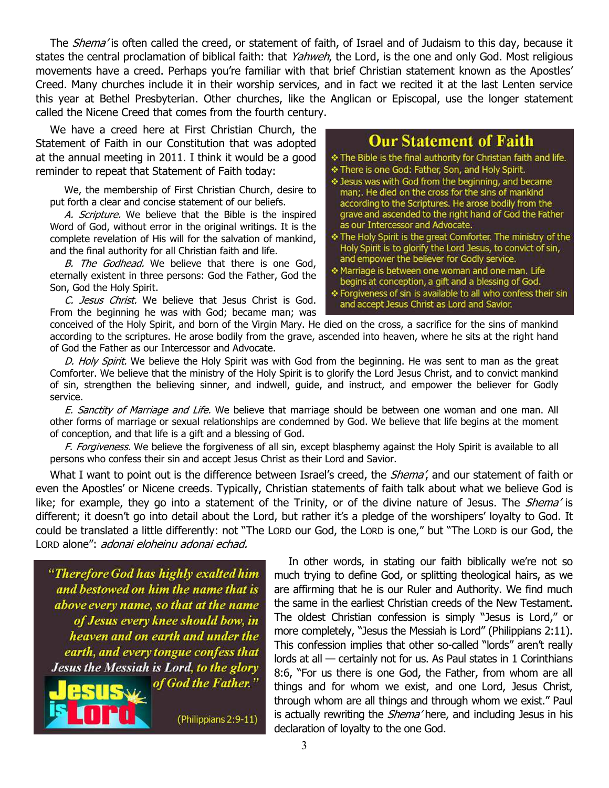The *Shema'* is often called the creed, or statement of faith, of Israel and of Judaism to this day, because it states the central proclamation of biblical faith: that Yahweh, the Lord, is the one and only God. Most religious movements have a creed. Perhaps you're familiar with that brief Christian statement known as the Apostles' Creed. Many churches include it in their worship services, and in fact we recited it at the last Lenten service this year at Bethel Presbyterian. Other churches, like the Anglican or Episcopal, use the longer statement called the Nicene Creed that comes from the fourth century.

We have a creed here at First Christian Church, the Statement of Faith in our Constitution that was adopted at the annual meeting in 2011. I think it would be a good reminder to repeat that Statement of Faith today:

We, the membership of First Christian Church, desire to put forth a clear and concise statement of our beliefs.

A. Scripture. We believe that the Bible is the inspired Word of God, without error in the original writings. It is the complete revelation of His will for the salvation of mankind, and the final authority for all Christian faith and life.

B. The Godhead. We believe that there is one God, eternally existent in three persons: God the Father, God the Son, God the Holy Spirit.

C. Jesus Christ. We believe that Jesus Christ is God. From the beginning he was with God; became man; was

# **Our Statement of Faith**

The Bible is the final authority for Christian faith and life. There is one God: Father, Son, and Holy Spirit.

- Desus was with God from the beginning, and became man;. He died on the cross for the sins of mankind according to the Scriptures. He arose bodily from the grave and ascended to the right hand of God the Father as our Intercessor and Advocate.
- The Holy Spirit is the great Comforter. The ministry of the Holy Spirit is to glorify the Lord Jesus, to convict of sin, and empower the believer for Godly service.
- \* Marriage is between one woman and one man. Life begins at conception, a gift and a blessing of God.
- ❖ Forgiveness of sin is available to all who confess their sin and accept Jesus Christ as Lord and Savior.

conceived of the Holy Spirit, and born of the Virgin Mary. He died on the cross, a sacrifice for the sins of mankind according to the scriptures. He arose bodily from the grave, ascended into heaven, where he sits at the right hand of God the Father as our Intercessor and Advocate.

D. Holy Spirit. We believe the Holy Spirit was with God from the beginning. He was sent to man as the great Comforter. We believe that the ministry of the Holy Spirit is to glorify the Lord Jesus Christ, and to convict mankind of sin, strengthen the believing sinner, and indwell, guide, and instruct, and empower the believer for Godly service.

E. Sanctity of Marriage and Life. We believe that marriage should be between one woman and one man. All other forms of marriage or sexual relationships are condemned by God. We believe that life begins at the moment of conception, and that life is a gift and a blessing of God.

F. Forgiveness. We believe the forgiveness of all sin, except blasphemy against the Holy Spirit is available to all persons who confess their sin and accept Jesus Christ as their Lord and Savior.

What I want to point out is the difference between Israel's creed, the *Shema'*, and our statement of faith or even the Apostles' or Nicene creeds. Typically, Christian statements of faith talk about what we believe God is like; for example, they go into a statement of the Trinity, or of the divine nature of Jesus. The *Shema'* is different; it doesn't go into detail about the Lord, but rather it's a pledge of the worshipers' loyalty to God. It could be translated a little differently: not "The LORD our God, the LORD is one," but "The LORD is our God, the LORD alone": adonai eloheinu adonai echad.

"Therefore God has highly exalted him and bestowed on him the name that is above every name, so that at the name of Jesus every knee should bow, in heaven and on earth and under the earth, and every tongue confess that Jesus the Messiah is Lord, to the glory of God the Father."

(Philippians 2:9-11)

In other words, in stating our faith biblically we're not so much trying to define God, or splitting theological hairs, as we are affirming that he is our Ruler and Authority. We find much the same in the earliest Christian creeds of the New Testament. The oldest Christian confession is simply "Jesus is Lord," or more completely, "Jesus the Messiah is Lord" (Philippians 2:11). This confession implies that other so-called "lords" aren't really lords at all — certainly not for us. As Paul states in 1 Corinthians 8:6, "For us there is one God, the Father, from whom are all things and for whom we exist, and one Lord, Jesus Christ, through whom are all things and through whom we exist." Paul is actually rewriting the *Shema* here, and including Jesus in his declaration of loyalty to the one God.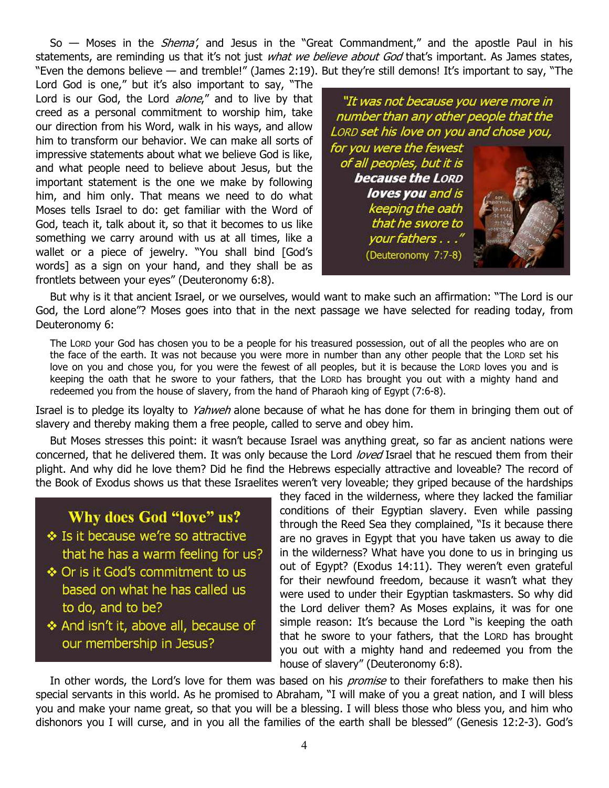So — Moses in the *Shema'*, and Jesus in the "Great Commandment," and the apostle Paul in his statements, are reminding us that it's not just *what we believe about God* that's important. As James states, "Even the demons believe — and tremble!" (James 2:19). But they're still demons! It's important to say, "The

Lord God is one," but it's also important to say, "The Lord is our God, the Lord alone," and to live by that creed as a personal commitment to worship him, take our direction from his Word, walk in his ways, and allow him to transform our behavior. We can make all sorts of impressive statements about what we believe God is like, and what people need to believe about Jesus, but the important statement is the one we make by following him, and him only. That means we need to do what Moses tells Israel to do: get familiar with the Word of God, teach it, talk about it, so that it becomes to us like something we carry around with us at all times, like a wallet or a piece of jewelry. "You shall bind [God's words] as a sign on your hand, and they shall be as frontlets between your eyes" (Deuteronomy 6:8).



But why is it that ancient Israel, or we ourselves, would want to make such an affirmation: "The Lord is our God, the Lord alone"? Moses goes into that in the next passage we have selected for reading today, from Deuteronomy 6:

The LORD your God has chosen you to be a people for his treasured possession, out of all the peoples who are on the face of the earth. It was not because you were more in number than any other people that the LORD set his love on you and chose you, for you were the fewest of all peoples, but it is because the LORD loves you and is keeping the oath that he swore to your fathers, that the LORD has brought you out with a mighty hand and redeemed you from the house of slavery, from the hand of Pharaoh king of Egypt (7:6-8).

Israel is to pledge its loyalty to Yahweh alone because of what he has done for them in bringing them out of slavery and thereby making them a free people, called to serve and obey him.

But Moses stresses this point: it wasn't because Israel was anything great, so far as ancient nations were concerned, that he delivered them. It was only because the Lord loved Israel that he rescued them from their plight. And why did he love them? Did he find the Hebrews especially attractive and loveable? The record of the Book of Exodus shows us that these Israelites weren't very loveable; they griped because of the hardships



they faced in the wilderness, where they lacked the familiar conditions of their Egyptian slavery. Even while passing through the Reed Sea they complained, "Is it because there are no graves in Egypt that you have taken us away to die in the wilderness? What have you done to us in bringing us out of Egypt? (Exodus 14:11). They weren't even grateful for their newfound freedom, because it wasn't what they were used to under their Egyptian taskmasters. So why did the Lord deliver them? As Moses explains, it was for one simple reason: It's because the Lord "is keeping the oath that he swore to your fathers, that the LORD has brought you out with a mighty hand and redeemed you from the house of slavery" (Deuteronomy 6:8).

In other words, the Lord's love for them was based on his *promise* to their forefathers to make then his special servants in this world. As he promised to Abraham, "I will make of you a great nation, and I will bless you and make your name great, so that you will be a blessing. I will bless those who bless you, and him who dishonors you I will curse, and in you all the families of the earth shall be blessed" (Genesis 12:2-3). God's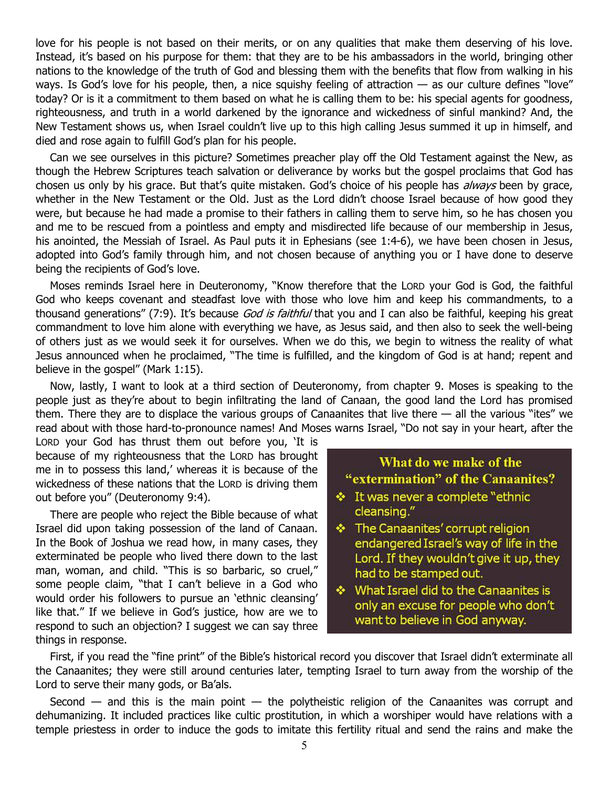love for his people is not based on their merits, or on any qualities that make them deserving of his love. Instead, it's based on his purpose for them: that they are to be his ambassadors in the world, bringing other nations to the knowledge of the truth of God and blessing them with the benefits that flow from walking in his ways. Is God's love for his people, then, a nice squishy feeling of attraction — as our culture defines "love" today? Or is it a commitment to them based on what he is calling them to be: his special agents for goodness, righteousness, and truth in a world darkened by the ignorance and wickedness of sinful mankind? And, the New Testament shows us, when Israel couldn't live up to this high calling Jesus summed it up in himself, and died and rose again to fulfill God's plan for his people.

Can we see ourselves in this picture? Sometimes preacher play off the Old Testament against the New, as though the Hebrew Scriptures teach salvation or deliverance by works but the gospel proclaims that God has chosen us only by his grace. But that's quite mistaken. God's choice of his people has *always* been by grace, whether in the New Testament or the Old. Just as the Lord didn't choose Israel because of how good they were, but because he had made a promise to their fathers in calling them to serve him, so he has chosen you and me to be rescued from a pointless and empty and misdirected life because of our membership in Jesus, his anointed, the Messiah of Israel. As Paul puts it in Ephesians (see 1:4-6), we have been chosen in Jesus, adopted into God's family through him, and not chosen because of anything you or I have done to deserve being the recipients of God's love.

Moses reminds Israel here in Deuteronomy, "Know therefore that the LORD your God is God, the faithful God who keeps covenant and steadfast love with those who love him and keep his commandments, to a thousand generations" (7:9). It's because God is faithful that you and I can also be faithful, keeping his great commandment to love him alone with everything we have, as Jesus said, and then also to seek the well-being of others just as we would seek it for ourselves. When we do this, we begin to witness the reality of what Jesus announced when he proclaimed, "The time is fulfilled, and the kingdom of God is at hand; repent and believe in the gospel" (Mark 1:15).

Now, lastly, I want to look at a third section of Deuteronomy, from chapter 9. Moses is speaking to the people just as they're about to begin infiltrating the land of Canaan, the good land the Lord has promised them. There they are to displace the various groups of Canaanites that live there — all the various "ites" we read about with those hard-to-pronounce names! And Moses warns Israel, "Do not say in your heart, after the

LORD your God has thrust them out before you, 'It is because of my righteousness that the LORD has brought me in to possess this land,' whereas it is because of the wickedness of these nations that the LORD is driving them out before you" (Deuteronomy 9:4).

There are people who reject the Bible because of what Israel did upon taking possession of the land of Canaan. In the Book of Joshua we read how, in many cases, they exterminated be people who lived there down to the last man, woman, and child. "This is so barbaric, so cruel," some people claim, "that I can't believe in a God who would order his followers to pursue an 'ethnic cleansing' like that." If we believe in God's justice, how are we to respond to such an objection? I suggest we can say three things in response.

What do we make of the "extermination" of the Canaanites?

- ❖ It was never a complete "ethnic cleansing."
- The Canaanites' corrupt religion endangered Israel's way of life in the Lord. If they wouldn't give it up, they had to be stamped out.
- ◆ What Israel did to the Canaanites is only an excuse for people who don't want to believe in God anyway.

First, if you read the "fine print" of the Bible's historical record you discover that Israel didn't exterminate all the Canaanites; they were still around centuries later, tempting Israel to turn away from the worship of the Lord to serve their many gods, or Ba'als.

Second  $-$  and this is the main point  $-$  the polytheistic religion of the Canaanites was corrupt and dehumanizing. It included practices like cultic prostitution, in which a worshiper would have relations with a temple priestess in order to induce the gods to imitate this fertility ritual and send the rains and make the